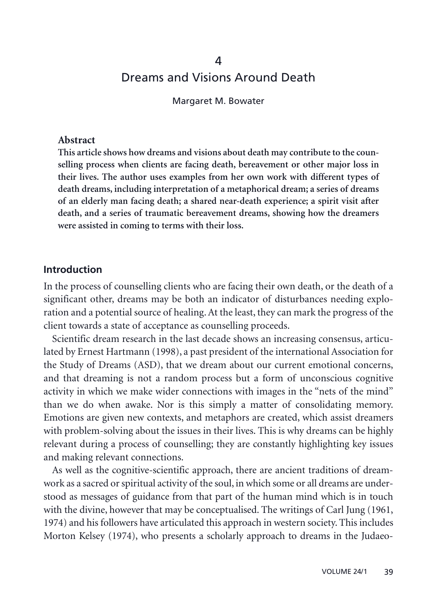# 4 Dreams and Visions Around Death

Margaret M. Bowater

#### **Abstract**

**This article shows how dreams and visions about death may contribute to the counselling process when clients are facing death, bereavement or other major loss in their lives. The author uses examples from her own work with different types of death dreams, including interpretation of a metaphorical dream; a series of dreams of an elderly man facing death; a shared near-death experience; a spirit visit after death, and a series of traumatic bereavement dreams, showing how the dreamers were assisted in coming to terms with their loss.**

#### **Introduction**

In the process of counselling clients who are facing their own death, or the death of a significant other, dreams may be both an indicator of disturbances needing exploration and a potential source of healing. At the least, they can mark the progress of the client towards a state of acceptance as counselling proceeds.

Scientific dream research in the last decade shows an increasing consensus, articulated by Ernest Hartmann (1998), a past president of the international Association for the Study of Dreams (ASD), that we dream about our current emotional concerns, and that dreaming is not a random process but a form of unconscious cognitive activity in which we make wider connections with images in the "nets of the mind" than we do when awake. Nor is this simply a matter of consolidating memory. Emotions are given new contexts, and metaphors are created, which assist dreamers with problem-solving about the issues in their lives. This is why dreams can be highly relevant during a process of counselling; they are constantly highlighting key issues and making relevant connections.

As well as the cognitive-scientific approach, there are ancient traditions of dreamwork as a sacred or spiritual activity of the soul, in which some or all dreams are understood as messages of guidance from that part of the human mind which is in touch with the divine, however that may be conceptualised. The writings of Carl Jung (1961, 1974) and his followers have articulated this approach in western society. This includes Morton Kelsey (1974), who presents a scholarly approach to dreams in the Judaeo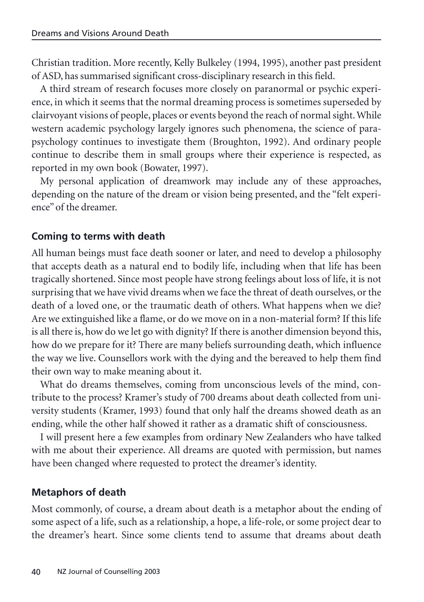Christian tradition. More recently, Kelly Bulkeley (1994, 1995), another past president of ASD, has summarised significant cross-disciplinary research in this field.

A third stream of research focuses more closely on paranormal or psychic experience, in which it seems that the normal dreaming process is sometimes superseded by clairvoyant visions of people, places or events beyond the reach of normal sight. While western academic psychology largely ignores such phenomena, the science of parapsychology continues to investigate them (Broughton, 1992). And ordinary people continue to describe them in small groups where their experience is respected, as reported in my own book (Bowater, 1997).

My personal application of dreamwork may include any of these approaches, depending on the nature of the dream or vision being presented, and the "felt experience" of the dreamer.

## **Coming to terms with death**

All human beings must face death sooner or later, and need to develop a philosophy that accepts death as a natural end to bodily life, including when that life has been tragically shortened. Since most people have strong feelings about loss of life, it is not surprising that we have vivid dreams when we face the threat of death ourselves, or the death of a loved one, or the traumatic death of others. What happens when we die? Are we extinguished like a flame, or do we move on in a non-material form? If this life is all there is, how do we let go with dignity? If there is another dimension beyond this, how do we prepare for it? There are many beliefs surrounding death, which influence the way we live. Counsellors work with the dying and the bereaved to help them find their own way to make meaning about it.

What do dreams themselves, coming from unconscious levels of the mind, contribute to the process? Kramer's study of 700 dreams about death collected from university students (Kramer, 1993) found that only half the dreams showed death as an ending, while the other half showed it rather as a dramatic shift of consciousness.

I will present here a few examples from ordinary New Zealanders who have talked with me about their experience. All dreams are quoted with permission, but names have been changed where requested to protect the dreamer's identity.

## **Metaphors of death**

Most commonly, of course, a dream about death is a metaphor about the ending of some aspect of a life, such as a relationship, a hope, a life-role, or some project dear to the dreamer's heart. Since some clients tend to assume that dreams about death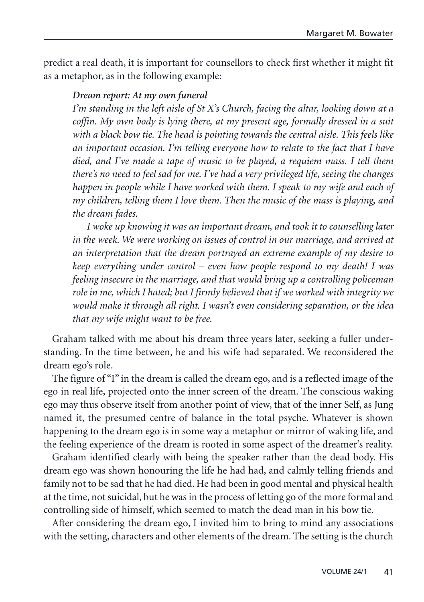predict a real death, it is important for counsellors to check first whether it might fit as a metaphor, as in the following example:

#### *Dream report: At my own funeral*

*I'm standing in the left aisle of St X's Church, facing the altar, looking down at a coffin. My own body is lying there, at my present age, formally dressed in a suit with a black bow tie. The head is pointing towards the central aisle. This feels like an important occasion. I'm telling everyone how to relate to the fact that I have died, and I've made a tape of music to be played, a requiem mass. I tell them there's no need to feel sad for me. I've had a very privileged life, seeing the changes happen in people while I have worked with them. I speak to my wife and each of my children, telling them I love them. Then the music of the mass is playing, and the dream fades.*

*I woke up knowing it was an important dream, and took it to counselling later in the week. We were working on issues of control in our marriage, and arrived at an interpretation that the dream portrayed an extreme example of my desire to keep everything under control – even how people respond to my death! I was feeling insecure in the marriage, and that would bring up a controlling policeman role in me, which I hated; but I firmly believed that if we worked with integrity we would make it through all right. I wasn't even considering separation, or the idea that my wife might want to be free.*

Graham talked with me about his dream three years later, seeking a fuller understanding. In the time between, he and his wife had separated. We reconsidered the dream ego's role.

The figure of "I" in the dream is called the dream ego, and is a reflected image of the ego in real life, projected onto the inner screen of the dream. The conscious waking ego may thus observe itself from another point of view, that of the inner Self, as Jung named it, the presumed centre of balance in the total psyche. Whatever is shown happening to the dream ego is in some way a metaphor or mirror of waking life, and the feeling experience of the dream is rooted in some aspect of the dreamer's reality.

Graham identified clearly with being the speaker rather than the dead body. His dream ego was shown honouring the life he had had, and calmly telling friends and family not to be sad that he had died. He had been in good mental and physical health at the time, not suicidal, but he was in the process of letting go of the more formal and controlling side of himself, which seemed to match the dead man in his bow tie.

After considering the dream ego, I invited him to bring to mind any associations with the setting, characters and other elements of the dream. The setting is the church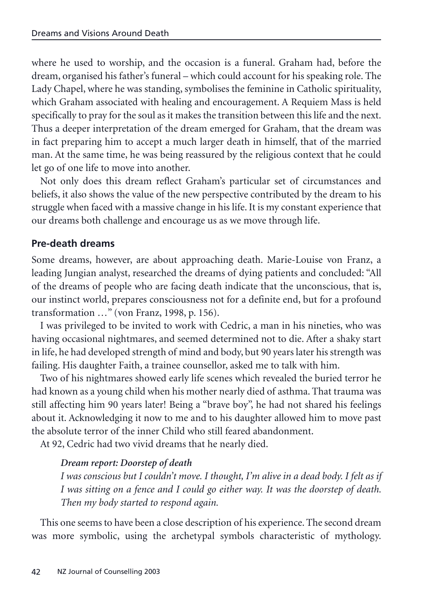where he used to worship, and the occasion is a funeral. Graham had, before the dream, organised his father's funeral – which could account for his speaking role. The Lady Chapel, where he was standing, symbolises the feminine in Catholic spirituality, which Graham associated with healing and encouragement. A Requiem Mass is held specifically to pray for the soul as it makes the transition between this life and the next. Thus a deeper interpretation of the dream emerged for Graham, that the dream was in fact preparing him to accept a much larger death in himself, that of the married man. At the same time, he was being reassured by the religious context that he could let go of one life to move into another.

Not only does this dream reflect Graham's particular set of circumstances and beliefs, it also shows the value of the new perspective contributed by the dream to his struggle when faced with a massive change in his life. It is my constant experience that our dreams both challenge and encourage us as we move through life.

### **Pre-death dreams**

Some dreams, however, are about approaching death. Marie-Louise von Franz, a leading Jungian analyst, researched the dreams of dying patients and concluded: "All of the dreams of people who are facing death indicate that the unconscious, that is, our instinct world, prepares consciousness not for a definite end, but for a profound transformation …" (von Franz, 1998, p. 156).

I was privileged to be invited to work with Cedric, a man in his nineties, who was having occasional nightmares, and seemed determined not to die. After a shaky start in life, he had developed strength of mind and body, but 90 years later his strength was failing. His daughter Faith, a trainee counsellor, asked me to talk with him.

Two of his nightmares showed early life scenes which revealed the buried terror he had known as a young child when his mother nearly died of asthma. That trauma was still affecting him 90 years later! Being a "brave boy", he had not shared his feelings about it. Acknowledging it now to me and to his daughter allowed him to move past the absolute terror of the inner Child who still feared abandonment.

At 92, Cedric had two vivid dreams that he nearly died.

### *Dream report: Doorstep of death*

*I was conscious but I couldn't move. I thought, I'm alive in a dead body. I felt as if I was sitting on a fence and I could go either way. It was the doorstep of death. Then my body started to respond again.*

This one seems to have been a close description of his experience. The second dream was more symbolic, using the archetypal symbols characteristic of mythology.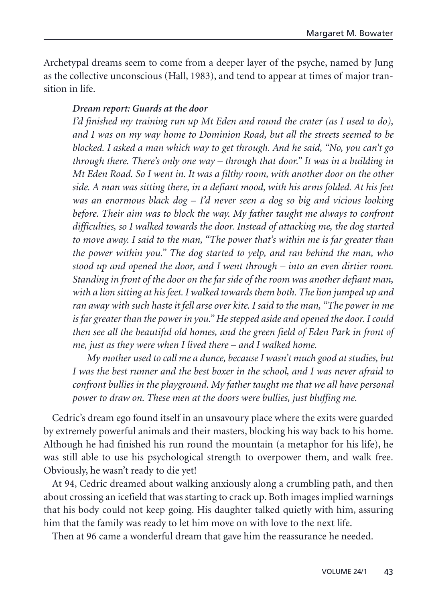Archetypal dreams seem to come from a deeper layer of the psyche, named by Jung as the collective unconscious (Hall, 1983), and tend to appear at times of major transition in life.

#### *Dream report: Guards at the door*

*I'd finished my training run up Mt Eden and round the crater (as I used to do), and I was on my way home to Dominion Road, but all the streets seemed to be blocked. I asked a man which way to get through. And he said, "No, you can't go through there. There's only one way – through that door." It was in a building in Mt Eden Road. So I went in. It was a filthy room, with another door on the other side. A man was sitting there, in a defiant mood, with his arms folded. At his feet was an enormous black dog – I'd never seen a dog so big and vicious looking before. Their aim was to block the way. My father taught me always to confront difficulties, so I walked towards the door. Instead of attacking me, the dog started to move away. I said to the man, "The power that's within me is far greater than the power within you." The dog started to yelp, and ran behind the man, who stood up and opened the door, and I went through – into an even dirtier room. Standing in front of the door on the far side of the room was another defiant man, with a lion sitting at his feet. I walked towards them both. The lion jumped up and ran away with such haste it fell arse over kite. I said to the man, "The power in me is far greater than the power in you." He stepped aside and opened the door. I could then see all the beautiful old homes, and the green field of Eden Park in front of me, just as they were when I lived there – and I walked home.*

*My mother used to call me a dunce, because I wasn't much good at studies, but I was the best runner and the best boxer in the school, and I was never afraid to confront bullies in the playground. My father taught me that we all have personal power to draw on. These men at the doors were bullies, just bluffing me.*

Cedric's dream ego found itself in an unsavoury place where the exits were guarded by extremely powerful animals and their masters, blocking his way back to his home. Although he had finished his run round the mountain (a metaphor for his life), he was still able to use his psychological strength to overpower them, and walk free. Obviously, he wasn't ready to die yet!

At 94, Cedric dreamed about walking anxiously along a crumbling path, and then about crossing an icefield that was starting to crack up. Both images implied warnings that his body could not keep going. His daughter talked quietly with him, assuring him that the family was ready to let him move on with love to the next life.

Then at 96 came a wonderful dream that gave him the reassurance he needed.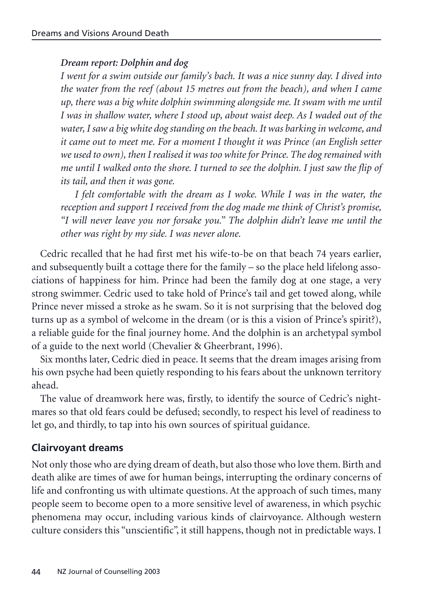### *Dream report: Dolphin and dog*

*I went for a swim outside our family's bach. It was a nice sunny day. I dived into the water from the reef (about 15 metres out from the beach), and when I came up, there was a big white dolphin swimming alongside me. It swam with me until I was in shallow water, where I stood up, about waist deep. As I waded out of the water, I saw a big white dog standing on the beach. It was barking in welcome, and it came out to meet me. For a moment I thought it was Prince (an English setter we used to own), then I realised it was too white for Prince. The dog remained with me until I walked onto the shore. I turned to see the dolphin. I just saw the flip of its tail, and then it was gone.*

*I felt comfortable with the dream as I woke. While I was in the water, the reception and support I received from the dog made me think of Christ's promise, "I will never leave you nor forsake you." The dolphin didn't leave me until the other was right by my side. I was never alone.*

Cedric recalled that he had first met his wife-to-be on that beach 74 years earlier, and subsequently built a cottage there for the family – so the place held lifelong associations of happiness for him. Prince had been the family dog at one stage, a very strong swimmer. Cedric used to take hold of Prince's tail and get towed along, while Prince never missed a stroke as he swam. So it is not surprising that the beloved dog turns up as a symbol of welcome in the dream (or is this a vision of Prince's spirit?), a reliable guide for the final journey home. And the dolphin is an archetypal symbol of a guide to the next world (Chevalier & Gheerbrant, 1996).

Six months later, Cedric died in peace. It seems that the dream images arising from his own psyche had been quietly responding to his fears about the unknown territory ahead.

The value of dreamwork here was, firstly, to identify the source of Cedric's nightmares so that old fears could be defused; secondly, to respect his level of readiness to let go, and thirdly, to tap into his own sources of spiritual guidance.

### **Clairvoyant dreams**

Not only those who are dying dream of death, but also those who love them. Birth and death alike are times of awe for human beings, interrupting the ordinary concerns of life and confronting us with ultimate questions. At the approach of such times, many people seem to become open to a more sensitive level of awareness, in which psychic phenomena may occur, including various kinds of clairvoyance. Although western culture considers this "unscientific", it still happens, though not in predictable ways. I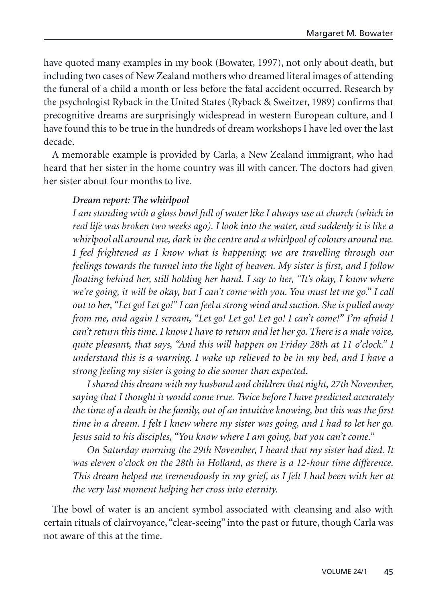have quoted many examples in my book (Bowater, 1997), not only about death, but including two cases of New Zealand mothers who dreamed literal images of attending the funeral of a child a month or less before the fatal accident occurred. Research by the psychologist Ryback in the United States (Ryback & Sweitzer, 1989) confirms that precognitive dreams are surprisingly widespread in western European culture, and I have found this to be true in the hundreds of dream workshops I have led over the last decade.

A memorable example is provided by Carla, a New Zealand immigrant, who had heard that her sister in the home country was ill with cancer. The doctors had given her sister about four months to live.

#### *Dream report: The whirlpool*

*I am standing with a glass bowl full of water like I always use at church (which in real life was broken two weeks ago). I look into the water, and suddenly it is like a whirlpool all around me, dark in the centre and a whirlpool of colours around me. I feel frightened as I know what is happening: we are travelling through our feelings towards the tunnel into the light of heaven. My sister is first, and I follow floating behind her, still holding her hand. I say to her, "It's okay, I know where we're going, it will be okay, but I can't come with you. You must let me go." I call out to her, "Let go! Let go!" I can feel a strong wind and suction. She is pulled away from me, and again I scream, "Let go! Let go! Let go! I can't come!" I'm afraid I can't return this time. I know I have to return and let her go. There is a male voice, quite pleasant, that says, "And this will happen on Friday 28th at 11 o'clock." I understand this is a warning. I wake up relieved to be in my bed, and I have a strong feeling my sister is going to die sooner than expected.*

*I shared this dream with my husband and children that night, 27th November, saying that I thought it would come true. Twice before I have predicted accurately the time of a death in the family, out of an intuitive knowing, but this was the first time in a dream. I felt I knew where my sister was going, and I had to let her go. Jesus said to his disciples, "You know where I am going, but you can't come."*

*On Saturday morning the 29th November, I heard that my sister had died. It was eleven o'clock on the 28th in Holland, as there is a 12-hour time difference. This dream helped me tremendously in my grief, as I felt I had been with her at the very last moment helping her cross into eternity.*

The bowl of water is an ancient symbol associated with cleansing and also with certain rituals of clairvoyance, "clear-seeing" into the past or future, though Carla was not aware of this at the time.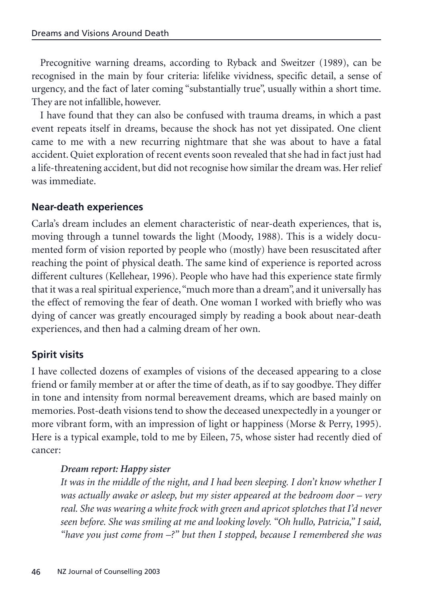Precognitive warning dreams, according to Ryback and Sweitzer (1989), can be recognised in the main by four criteria: lifelike vividness, specific detail, a sense of urgency, and the fact of later coming "substantially true", usually within a short time. They are not infallible, however.

I have found that they can also be confused with trauma dreams, in which a past event repeats itself in dreams, because the shock has not yet dissipated. One client came to me with a new recurring nightmare that she was about to have a fatal accident. Quiet exploration of recent events soon revealed that she had in fact just had a life-threatening accident, but did not recognise how similar the dream was. Her relief was immediate.

### **Near-death experiences**

Carla's dream includes an element characteristic of near-death experiences, that is, moving through a tunnel towards the light (Moody, 1988). This is a widely documented form of vision reported by people who (mostly) have been resuscitated after reaching the point of physical death. The same kind of experience is reported across different cultures (Kellehear, 1996). People who have had this experience state firmly that it was a real spiritual experience,"much more than a dream", and it universally has the effect of removing the fear of death. One woman I worked with briefly who was dying of cancer was greatly encouraged simply by reading a book about near-death experiences, and then had a calming dream of her own.

### **Spirit visits**

I have collected dozens of examples of visions of the deceased appearing to a close friend or family member at or after the time of death, as if to say goodbye. They differ in tone and intensity from normal bereavement dreams, which are based mainly on memories. Post-death visions tend to show the deceased unexpectedly in a younger or more vibrant form, with an impression of light or happiness (Morse & Perry, 1995). Here is a typical example, told to me by Eileen, 75, whose sister had recently died of cancer:

#### *Dream report: Happy sister*

*It was in the middle of the night, and I had been sleeping. I don't know whether I was actually awake or asleep, but my sister appeared at the bedroom door – very real. She was wearing a white frock with green and apricot splotches that I'd never seen before. She was smiling at me and looking lovely. "Oh hullo, Patricia," I said, "have you just come from –?" but then I stopped, because I remembered she was*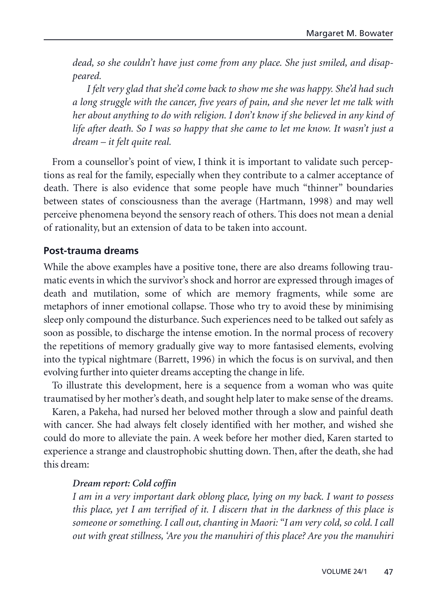*dead, so she couldn't have just come from any place. She just smiled, and disappeared.*

*I felt very glad that she'd come back to show me she was happy. She'd had such a long struggle with the cancer, five years of pain, and she never let me talk with her about anything to do with religion. I don't know if she believed in any kind of life after death. So I was so happy that she came to let me know. It wasn't just a dream – it felt quite real.*

From a counsellor's point of view, I think it is important to validate such perceptions as real for the family, especially when they contribute to a calmer acceptance of death. There is also evidence that some people have much "thinner" boundaries between states of consciousness than the average (Hartmann, 1998) and may well perceive phenomena beyond the sensory reach of others. This does not mean a denial of rationality, but an extension of data to be taken into account.

### **Post-trauma dreams**

While the above examples have a positive tone, there are also dreams following traumatic events in which the survivor's shock and horror are expressed through images of death and mutilation, some of which are memory fragments, while some are metaphors of inner emotional collapse. Those who try to avoid these by minimising sleep only compound the disturbance. Such experiences need to be talked out safely as soon as possible, to discharge the intense emotion. In the normal process of recovery the repetitions of memory gradually give way to more fantasised elements, evolving into the typical nightmare (Barrett, 1996) in which the focus is on survival, and then evolving further into quieter dreams accepting the change in life.

To illustrate this development, here is a sequence from a woman who was quite traumatised by her mother's death, and sought help later to make sense of the dreams.

Karen, a Pakeha, had nursed her beloved mother through a slow and painful death with cancer. She had always felt closely identified with her mother, and wished she could do more to alleviate the pain. A week before her mother died, Karen started to experience a strange and claustrophobic shutting down. Then, after the death, she had this dream:

### *Dream report: Cold coffin*

*I am in a very important dark oblong place, lying on my back. I want to possess this place, yet I am terrified of it. I discern that in the darkness of this place is someone or something. I call out, chanting in Maori: "I am very cold, so cold. I call out with great stillness, 'Are you the manuhiri of this place? Are you the manuhiri*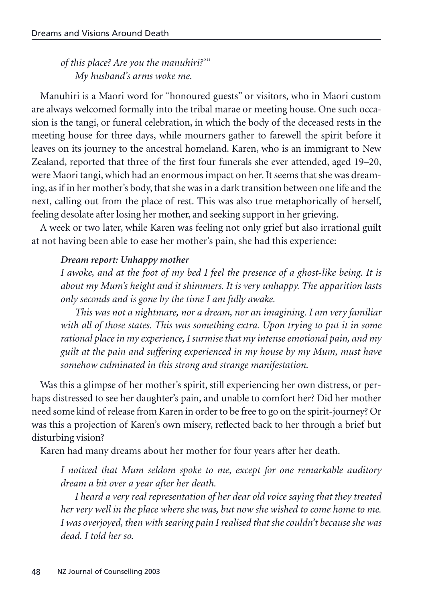*of this place? Are you the manuhiri?'" My husband's arms woke me.*

Manuhiri is a Maori word for "honoured guests" or visitors, who in Maori custom are always welcomed formally into the tribal marae or meeting house. One such occasion is the tangi, or funeral celebration, in which the body of the deceased rests in the meeting house for three days, while mourners gather to farewell the spirit before it leaves on its journey to the ancestral homeland. Karen, who is an immigrant to New Zealand, reported that three of the first four funerals she ever attended, aged 19–20, were Maori tangi, which had an enormous impact on her. It seems that she was dreaming, as if in her mother's body, that she was in a dark transition between one life and the next, calling out from the place of rest. This was also true metaphorically of herself, feeling desolate after losing her mother, and seeking support in her grieving.

A week or two later, while Karen was feeling not only grief but also irrational guilt at not having been able to ease her mother's pain, she had this experience:

#### *Dream report: Unhappy mother*

*I awoke, and at the foot of my bed I feel the presence of a ghost-like being. It is about my Mum's height and it shimmers. It is very unhappy. The apparition lasts only seconds and is gone by the time I am fully awake.*

*This was not a nightmare, nor a dream, nor an imagining. I am very familiar with all of those states. This was something extra. Upon trying to put it in some rational place in my experience, I surmise that my intense emotional pain, and my guilt at the pain and suffering experienced in my house by my Mum, must have somehow culminated in this strong and strange manifestation.*

Was this a glimpse of her mother's spirit, still experiencing her own distress, or perhaps distressed to see her daughter's pain, and unable to comfort her? Did her mother need some kind of release from Karen in order to be free to go on the spirit-journey? Or was this a projection of Karen's own misery, reflected back to her through a brief but disturbing vision?

Karen had many dreams about her mother for four years after her death.

*I noticed that Mum seldom spoke to me, except for one remarkable auditory dream a bit over a year after her death.*

*I heard a very real representation of her dear old voice saying that they treated her very well in the place where she was, but now she wished to come home to me. I was overjoyed, then with searing pain I realised that she couldn't because she was dead. I told her so.*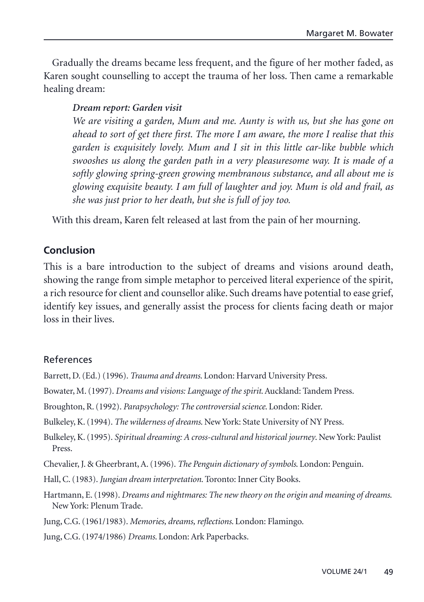Gradually the dreams became less frequent, and the figure of her mother faded, as Karen sought counselling to accept the trauma of her loss. Then came a remarkable healing dream:

#### *Dream report: Garden visit*

*We are visiting a garden, Mum and me. Aunty is with us, but she has gone on ahead to sort of get there first. The more I am aware, the more I realise that this garden is exquisitely lovely. Mum and I sit in this little car-like bubble which swooshes us along the garden path in a very pleasuresome way. It is made of a softly glowing spring-green growing membranous substance, and all about me is glowing exquisite beauty. I am full of laughter and joy. Mum is old and frail, as she was just prior to her death, but she is full of joy too.*

With this dream, Karen felt released at last from the pain of her mourning.

## **Conclusion**

This is a bare introduction to the subject of dreams and visions around death, showing the range from simple metaphor to perceived literal experience of the spirit, a rich resource for client and counsellor alike. Such dreams have potential to ease grief, identify key issues, and generally assist the process for clients facing death or major loss in their lives.

### References

- Barrett, D. (Ed.) (1996). *Trauma and dreams*. London: Harvard University Press.
- Bowater, M. (1997). *Dreams and visions: Language of the spirit*. Auckland: Tandem Press.
- Broughton, R. (1992). *Parapsychology: The controversial science*. London: Rider.
- Bulkeley, K. (1994). *The wilderness of dreams*. New York: State University of NY Press.
- Bulkeley, K. (1995). *Spiritual dreaming: A cross-cultural and historical journey*. New York: Paulist Press.
- Chevalier, J. & Gheerbrant, A. (1996). *The Penguin dictionary of symbols*. London: Penguin.
- Hall, C. (1983).*Jungian dream interpretation*. Toronto: Inner City Books.
- Hartmann, E. (1998). *Dreams and nightmares: The new theory on the origin and meaning of dreams*. New York: Plenum Trade.
- Jung, C.G. (1961/1983). *Memories, dreams, reflections*. London: Flamingo.
- Jung, C.G. (1974/1986) *Dreams*. London: Ark Paperbacks.